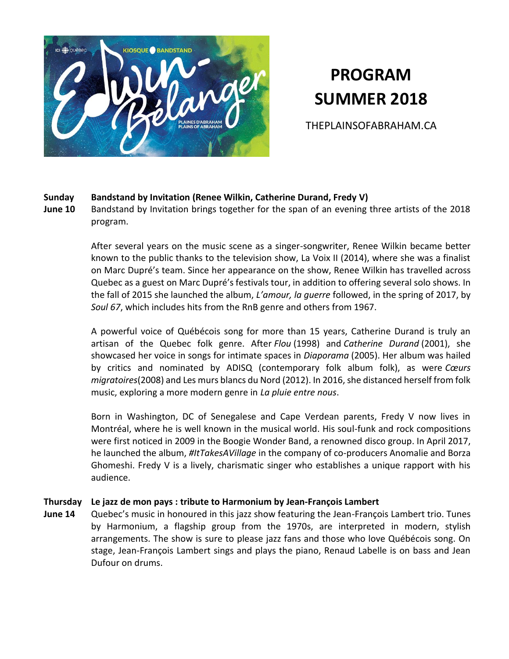

# **PROGRAM SUMMER 2018**

THEPLAINSOFABRAHAM.CA

#### **Sunday Bandstand by Invitation (Renee Wilkin, Catherine Durand, Fredy V)**

**June 10** Bandstand by Invitation brings together for the span of an evening three artists of the 2018 program.

> After several years on the music scene as a singer-songwriter, Renee Wilkin became better known to the public thanks to the television show, La Voix II (2014), where she was a finalist on Marc Dupré's team. Since her appearance on the show, Renee Wilkin has travelled across Quebec as a guest on Marc Dupré's festivals tour, in addition to offering several solo shows. In the fall of 2015 she launched the album, *L'amour, la guerre* followed, in the spring of 2017, by *Soul 67*, which includes hits from the RnB genre and others from 1967.

> A powerful voice of Québécois song for more than 15 years, Catherine Durand is truly an artisan of the Quebec folk genre. After *Flou* (1998) and *Catherine Durand* (2001), she showcased her voice in songs for intimate spaces in *Diaporama* (2005). Her album was hailed by critics and nominated by ADISQ (contemporary folk album folk), as were *Cœurs migratoires*(2008) and Les murs blancs du Nord (2012). In 2016, she distanced herself from folk music, exploring a more modern genre in *La pluie entre nous*.

> Born in Washington, DC of Senegalese and Cape Verdean parents, Fredy V now lives in Montréal, where he is well known in the musical world. His soul-funk and rock compositions were first noticed in 2009 in the Boogie Wonder Band, a renowned disco group. In April 2017, he launched the album, *#ItTakesAVillage* in the company of co-producers Anomalie and Borza Ghomeshi. Fredy V is a lively, charismatic singer who establishes a unique rapport with his audience.

#### **Thursday Le jazz de mon pays : tribute to Harmonium by Jean-François Lambert**

**June 14** Quebec's music in honoured in this jazz show featuring the Jean-François Lambert trio. Tunes by Harmonium, a flagship group from the 1970s, are interpreted in modern, stylish arrangements. The show is sure to please jazz fans and those who love Québécois song. On stage, Jean-François Lambert sings and plays the piano, Renaud Labelle is on bass and Jean Dufour on drums.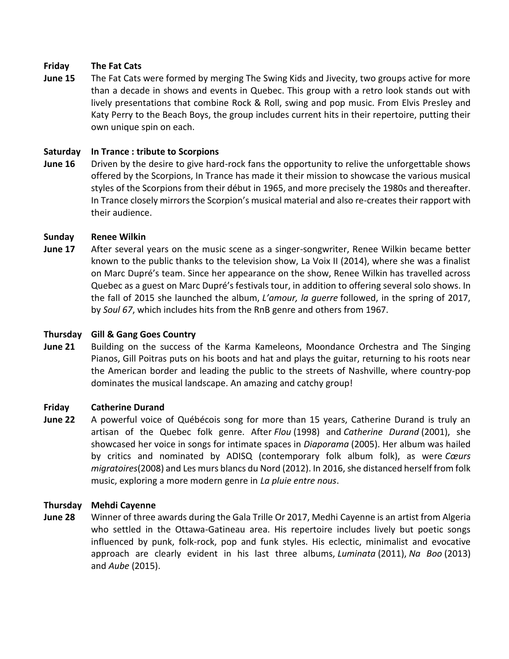#### **Friday The Fat Cats**

**June 15** The Fat Cats were formed by merging The Swing Kids and Jivecity, two groups active for more than a decade in shows and events in Quebec. This group with a retro look stands out with lively presentations that combine Rock & Roll, swing and pop music. From Elvis Presley and Katy Perry to the Beach Boys, the group includes current hits in their repertoire, putting their own unique spin on each.

#### **Saturday In Trance : tribute to Scorpions**

**June 16** Driven by the desire to give hard-rock fans the opportunity to relive the unforgettable shows offered by the Scorpions, In Trance has made it their mission to showcase the various musical styles of the Scorpions from their début in 1965, and more precisely the 1980s and thereafter. In Trance closely mirrors the Scorpion's musical material and also re-creates their rapport with their audience.

#### **Sunday Renee Wilkin**

**June 17** After several years on the music scene as a singer-songwriter, Renee Wilkin became better known to the public thanks to the television show, La Voix II (2014), where she was a finalist on Marc Dupré's team. Since her appearance on the show, Renee Wilkin has travelled across Quebec as a guest on Marc Dupré's festivals tour, in addition to offering several solo shows. In the fall of 2015 she launched the album, *L'amour, la guerre* followed, in the spring of 2017, by *Soul 67*, which includes hits from the RnB genre and others from 1967.

# **Thursday Gill & Gang Goes Country**

**June 21** Building on the success of the Karma Kameleons, Moondance Orchestra and The Singing Pianos, Gill Poitras puts on his boots and hat and plays the guitar, returning to his roots near the American border and leading the public to the streets of Nashville, where country-pop dominates the musical landscape. An amazing and catchy group!

#### **Friday Catherine Durand**

**June 22** A powerful voice of Québécois song for more than 15 years, Catherine Durand is truly an artisan of the Quebec folk genre. After *Flou* (1998) and *Catherine Durand* (2001), she showcased her voice in songs for intimate spaces in *Diaporama* (2005). Her album was hailed by critics and nominated by ADISQ (contemporary folk album folk), as were *Cœurs migratoires*(2008) and Les murs blancs du Nord (2012). In 2016, she distanced herself from folk music, exploring a more modern genre in *La pluie entre nous*.

#### **Thursday Mehdi Cayenne**

**June 28** Winner of three awards during the Gala Trille Or 2017, Medhi Cayenne is an artist from Algeria who settled in the Ottawa-Gatineau area. His repertoire includes lively but poetic songs influenced by punk, folk-rock, pop and funk styles. His eclectic, minimalist and evocative approach are clearly evident in his last three albums, *Luminata* (2011), *Na Boo* (2013) and *Aube* (2015).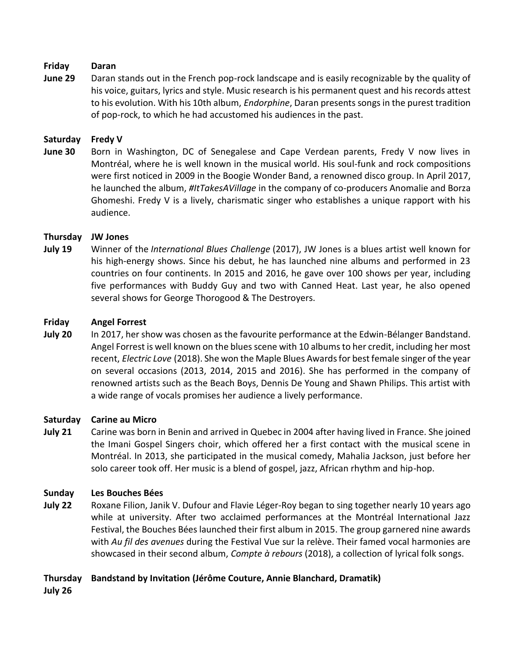#### **Friday Daran**

**June 29** Daran stands out in the French pop-rock landscape and is easily recognizable by the quality of his voice, guitars, lyrics and style. Music research is his permanent quest and his records attest to his evolution. With his 10th album, *Endorphine*, Daran presents songs in the purest tradition of pop-rock, to which he had accustomed his audiences in the past.

#### **Saturday Fredy V**

**June 30** Born in Washington, DC of Senegalese and Cape Verdean parents, Fredy V now lives in Montréal, where he is well known in the musical world. His soul-funk and rock compositions were first noticed in 2009 in the Boogie Wonder Band, a renowned disco group. In April 2017, he launched the album, *#ItTakesAVillage* in the company of co-producers Anomalie and Borza Ghomeshi. Fredy V is a lively, charismatic singer who establishes a unique rapport with his audience.

# **Thursday JW Jones**

**July 19** Winner of the *International Blues Challenge* (2017), JW Jones is a blues artist well known for his high-energy shows. Since his debut, he has launched nine albums and performed in 23 countries on four continents. In 2015 and 2016, he gave over 100 shows per year, including five performances with Buddy Guy and two with Canned Heat. Last year, he also opened several shows for George Thorogood & The Destroyers.

#### **Friday Angel Forrest**

**July 20** In 2017, her show was chosen as the favourite performance at the Edwin-Bélanger Bandstand. Angel Forrest is well known on the blues scene with 10 albums to her credit, including her most recent, *Electric Love* (2018). She won the Maple Blues Awards for best female singer of the year on several occasions (2013, 2014, 2015 and 2016). She has performed in the company of renowned artists such as the Beach Boys, Dennis De Young and Shawn Philips. This artist with a wide range of vocals promises her audience a lively performance.

#### **Saturday Carine au Micro**

**July 21** Carine was born in Benin and arrived in Quebec in 2004 after having lived in France. She joined the Imani Gospel Singers choir, which offered her a first contact with the musical scene in Montréal. In 2013, she participated in the musical comedy, Mahalia Jackson, just before her solo career took off. Her music is a blend of gospel, jazz, African rhythm and hip-hop.

#### **Sunday Les Bouches Bées**

**July 22** Roxane Filion, Janik V. Dufour and Flavie Léger-Roy began to sing together nearly 10 years ago while at university. After two acclaimed performances at the Montréal International Jazz Festival, the Bouches Bées launched their first album in 2015. The group garnered nine awards with *Au fil des avenues* during the Festival Vue sur la relève. Their famed vocal harmonies are showcased in their second album, *Compte à rebours* (2018), a collection of lyrical folk songs.

# **Thursday Bandstand by Invitation (Jérôme Couture, Annie Blanchard, Dramatik)**

# **July 26**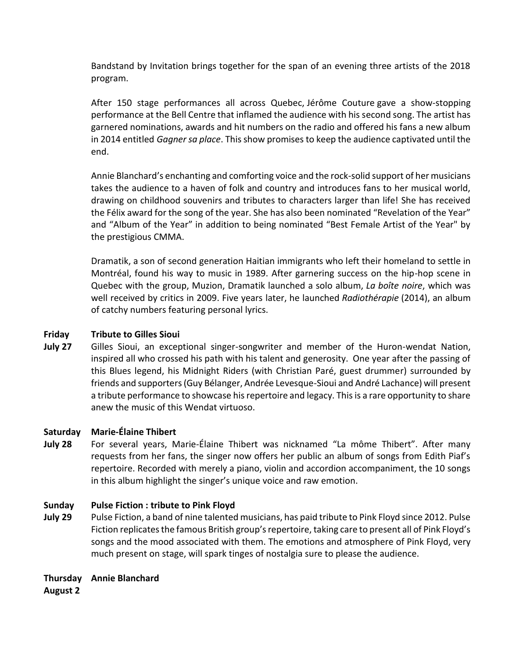Bandstand by Invitation brings together for the span of an evening three artists of the 2018 program.

After 150 stage performances all across Quebec, Jérôme Couture gave a show-stopping performance at the Bell Centre that inflamed the audience with his second song. The artist has garnered nominations, awards and hit numbers on the radio and offered his fans a new album in 2014 entitled *Gagner sa place*. This show promises to keep the audience captivated until the end.

Annie Blanchard's enchanting and comforting voice and the rock-solid support of her musicians takes the audience to a haven of folk and country and introduces fans to her musical world, drawing on childhood souvenirs and tributes to characters larger than life! She has received the Félix award for the song of the year. She has also been nominated "Revelation of the Year" and "Album of the Year" in addition to being nominated "Best Female Artist of the Year" by the prestigious CMMA.

Dramatik, a son of second generation Haitian immigrants who left their homeland to settle in Montréal, found his way to music in 1989. After garnering success on the hip-hop scene in Quebec with the group, Muzion, Dramatik launched a solo album, *La boîte noire*, which was well received by critics in 2009. Five years later, he launched *Radiothérapie* (2014), an album of catchy numbers featuring personal lyrics.

#### **Friday Tribute to Gilles Sioui**

**July 27** Gilles Sioui, an exceptional singer-songwriter and member of the Huron-wendat Nation, inspired all who crossed his path with his talent and generosity. One year after the passing of this Blues legend, his Midnight Riders (with Christian Paré, guest drummer) surrounded by friends and supporters (Guy Bélanger, Andrée Levesque-Sioui and André Lachance) will present a tribute performance to showcase his repertoire and legacy. This is a rare opportunity to share anew the music of this Wendat virtuoso.

#### **Saturday Marie-Élaine Thibert**

**July 28** For several years, Marie-Élaine Thibert was nicknamed "La môme Thibert". After many requests from her fans, the singer now offers her public an album of songs from Edith Piaf's repertoire. Recorded with merely a piano, violin and accordion accompaniment, the 10 songs in this album highlight the singer's unique voice and raw emotion.

#### **Sunday Pulse Fiction : tribute to Pink Floyd**

**July 29** Pulse Fiction, a band of nine talented musicians, has paid tribute to Pink Floyd since 2012. Pulse Fiction replicates the famous British group's repertoire, taking care to present all of Pink Floyd's songs and the mood associated with them. The emotions and atmosphere of Pink Floyd, very much present on stage, will spark tinges of nostalgia sure to please the audience.

### **Thursday Annie Blanchard**

**August 2**